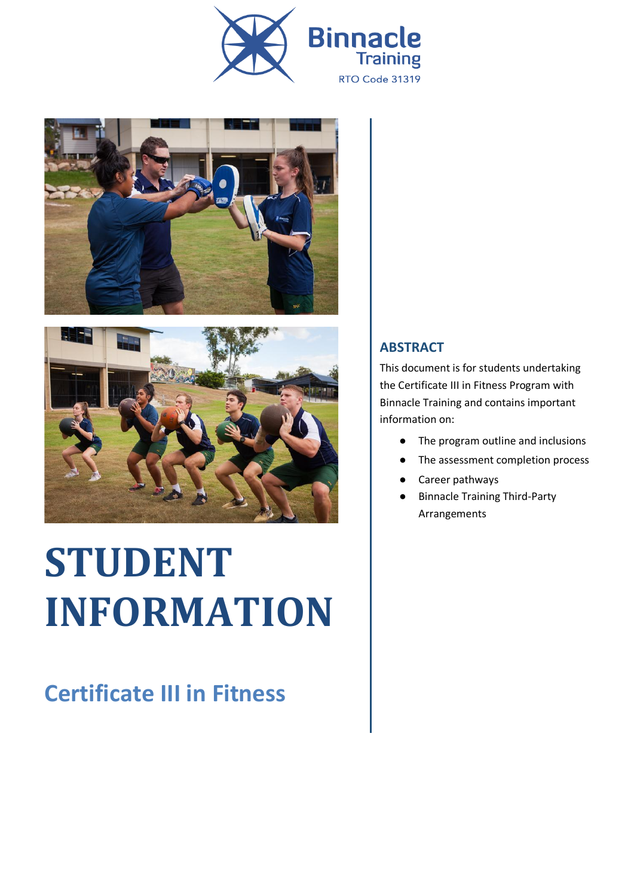





# **STUDENT INFORMATION**

## **Certificate III in Fitness**

#### **ABSTRACT**

This document is for students undertaking the Certificate III in Fitness Program with Binnacle Training and contains important information on:

- The program outline and inclusions
- The assessment completion process
- Career pathways
- Binnacle Training Third-Party Arrangements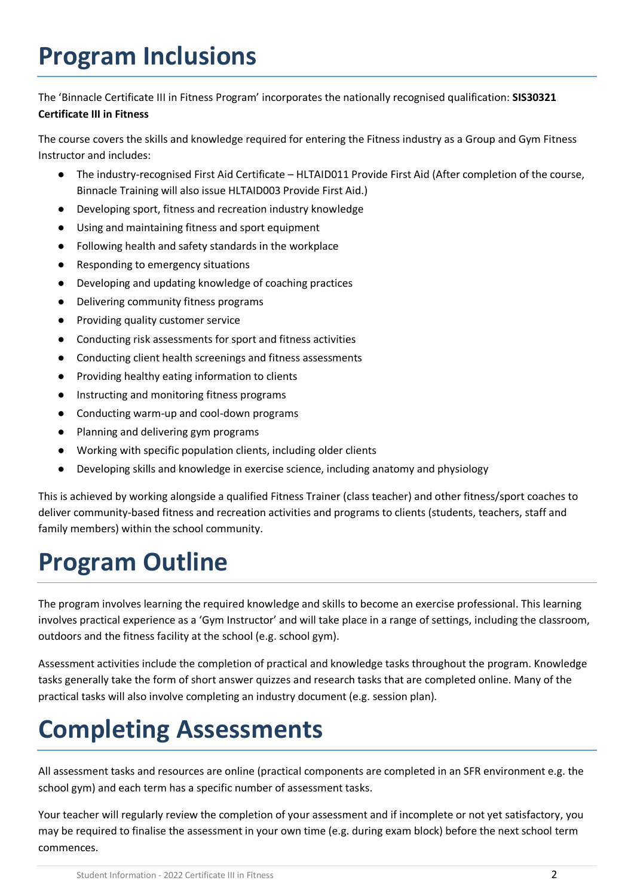# **Program Inclusions**

The 'Binnacle Certificate III in Fitness Program' incorporates the nationally recognised qualification: **SIS30321 Certificate III in Fitness**

The course covers the skills and knowledge required for entering the Fitness industry as a Group and Gym Fitness Instructor and includes:

- The industry-recognised First Aid Certificate HLTAID011 Provide First Aid (After completion of the course, Binnacle Training will also issue HLTAID003 Provide First Aid.)
- Developing sport, fitness and recreation industry knowledge
- Using and maintaining fitness and sport equipment
- Following health and safety standards in the workplace
- Responding to emergency situations
- Developing and updating knowledge of coaching practices
- Delivering community fitness programs
- Providing quality customer service
- Conducting risk assessments for sport and fitness activities
- Conducting client health screenings and fitness assessments
- Providing healthy eating information to clients
- Instructing and monitoring fitness programs
- Conducting warm-up and cool-down programs
- Planning and delivering gym programs
- Working with specific population clients, including older clients
- Developing skills and knowledge in exercise science, including anatomy and physiology

This is achieved by working alongside a qualified Fitness Trainer (class teacher) and other fitness/sport coaches to deliver community-based fitness and recreation activities and programs to clients (students, teachers, staff and family members) within the school community.

# **Program Outline**

The program involves learning the required knowledge and skills to become an exercise professional. This learning involves practical experience as a 'Gym Instructor' and will take place in a range of settings, including the classroom, outdoors and the fitness facility at the school (e.g. school gym).

Assessment activities include the completion of practical and knowledge tasks throughout the program. Knowledge tasks generally take the form of short answer quizzes and research tasks that are completed online. Many of the practical tasks will also involve completing an industry document (e.g. session plan).

# **Completing Assessments**

All assessment tasks and resources are online (practical components are completed in an SFR environment e.g. the school gym) and each term has a specific number of assessment tasks.

Your teacher will regularly review the completion of your assessment and if incomplete or not yet satisfactory, you may be required to finalise the assessment in your own time (e.g. during exam block) before the next school term commences.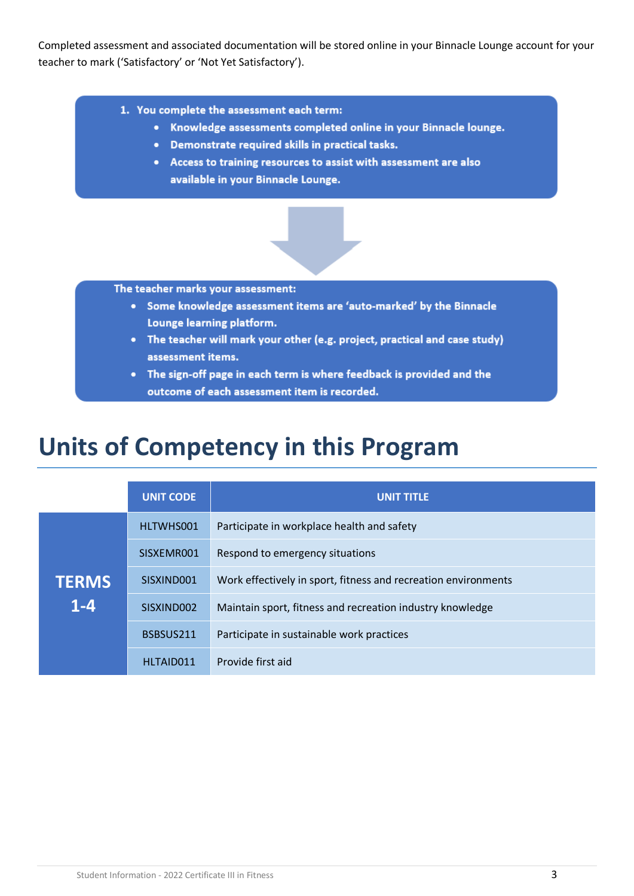Completed assessment and associated documentation will be stored online in your Binnacle Lounge account for your teacher to mark ('Satisfactory' or 'Not Yet Satisfactory').

- 1. You complete the assessment each term:
	- Knowledge assessments completed online in your Binnacle lounge.
	- Demonstrate required skills in practical tasks.
	- Access to training resources to assist with assessment are also available in your Binnacle Lounge.

The teacher marks your assessment:

- Some knowledge assessment items are 'auto-marked' by the Binnacle Lounge learning platform.
- The teacher will mark your other (e.g. project, practical and case study) assessment items.
- The sign-off page in each term is where feedback is provided and the outcome of each assessment item is recorded.

### **Units of Competency in this Program**

|              | <b>UNIT CODE</b> | <b>UNIT TITLE</b>                                              |
|--------------|------------------|----------------------------------------------------------------|
|              | HLTWHS001        | Participate in workplace health and safety                     |
|              | SISXEMR001       | Respond to emergency situations                                |
| <b>TERMS</b> | SISXIND001       | Work effectively in sport, fitness and recreation environments |
| $1 - 4$      | SISXIND002       | Maintain sport, fitness and recreation industry knowledge      |
|              | BSBSUS211        | Participate in sustainable work practices                      |
|              | HLTAID011        | Provide first aid                                              |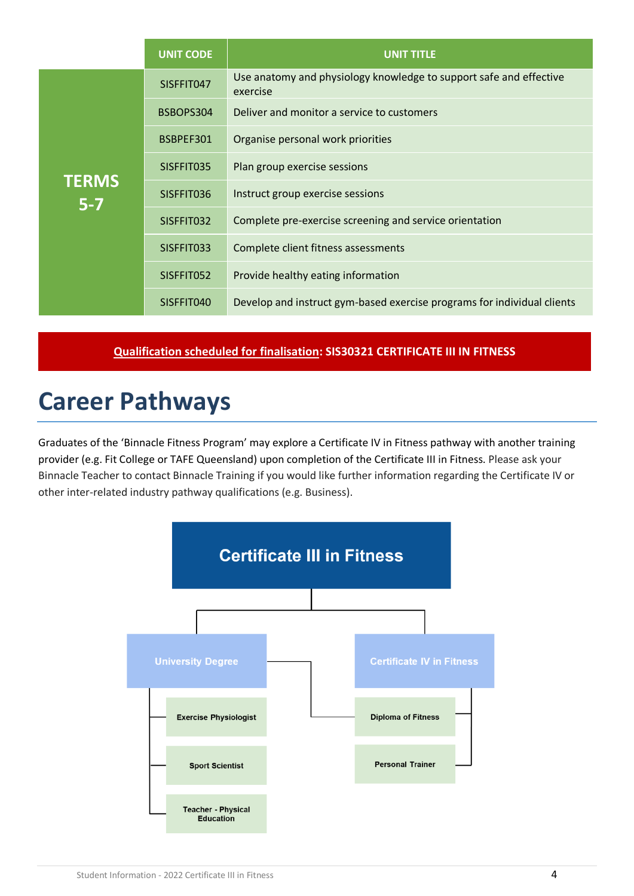|                         | <b>UNIT CODE</b> | <b>UNIT TITLE</b>                                                              |
|-------------------------|------------------|--------------------------------------------------------------------------------|
|                         | SISFFIT047       | Use anatomy and physiology knowledge to support safe and effective<br>exercise |
|                         | BSBOPS304        | Deliver and monitor a service to customers                                     |
|                         | BSBPEF301        | Organise personal work priorities                                              |
|                         | SISFFIT035       | Plan group exercise sessions                                                   |
| <b>TERMS</b><br>$5 - 7$ | SISFFIT036       | Instruct group exercise sessions                                               |
|                         | SISFFIT032       | Complete pre-exercise screening and service orientation                        |
|                         | SISFFIT033       | Complete client fitness assessments                                            |
|                         | SISFFIT052       | Provide healthy eating information                                             |
|                         | SISFFIT040       | Develop and instruct gym-based exercise programs for individual clients        |

#### **Qualification scheduled for finalisation: SIS30321 CERTIFICATE III IN FITNESS**

#### **Career Pathways**

Graduates of the 'Binnacle Fitness Program' may explore a Certificate IV in Fitness pathway with another training provider (e.g. Fit College or TAFE Queensland) upon completion of the Certificate III in Fitness. Please ask your Binnacle Teacher to contact Binnacle Training if you would like further information regarding the Certificate IV or other inter-related industry pathway qualifications (e.g. Business).

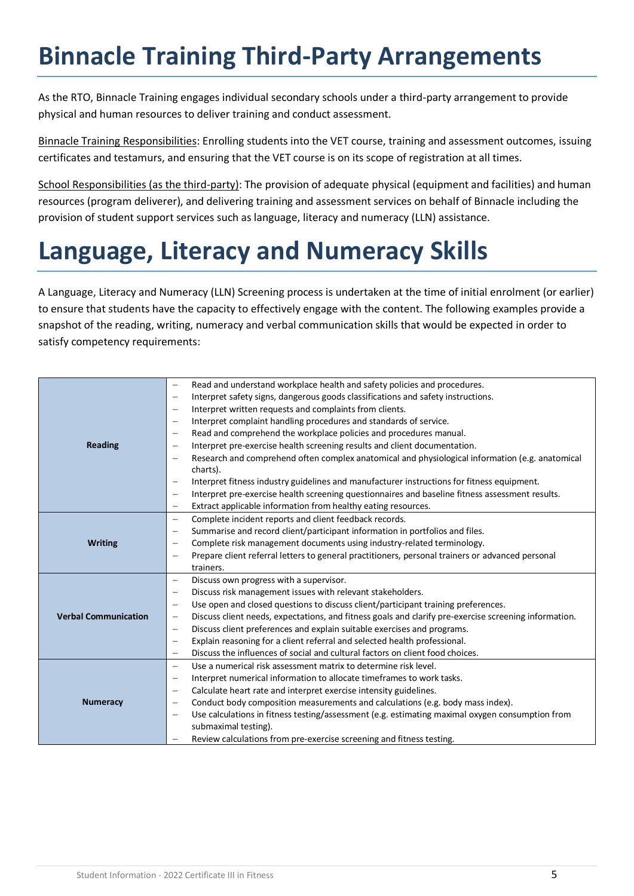# **Binnacle Training Third-Party Arrangements**

As the RTO, Binnacle Training engages individual secondary schools under a third-party arrangement to provide physical and human resources to deliver training and conduct assessment.

Binnacle Training Responsibilities: Enrolling students into the VET course, training and assessment outcomes, issuing certificates and testamurs, and ensuring that the VET course is on its scope of registration at all times.

School Responsibilities (as the third-party): The provision of adequate physical (equipment and facilities) and human resources (program deliverer), and delivering training and assessment services on behalf of Binnacle including the provision of student support services such as language, literacy and numeracy (LLN) assistance.

# **Language, Literacy and Numeracy Skills**

A Language, Literacy and Numeracy (LLN) Screening process is undertaken at the time of initial enrolment (or earlier) to ensure that students have the capacity to effectively engage with the content. The following examples provide a snapshot of the reading, writing, numeracy and verbal communication skills that would be expected in order to satisfy competency requirements:

|                             | Read and understand workplace health and safety policies and procedures.<br>$\qquad \qquad -$                                     |
|-----------------------------|-----------------------------------------------------------------------------------------------------------------------------------|
|                             | Interpret safety signs, dangerous goods classifications and safety instructions.<br>$\qquad \qquad -$                             |
|                             | Interpret written requests and complaints from clients.<br>$\overline{\phantom{0}}$                                               |
|                             | Interpret complaint handling procedures and standards of service.<br>$\qquad \qquad -$                                            |
|                             | Read and comprehend the workplace policies and procedures manual.<br>$\qquad \qquad -$                                            |
| <b>Reading</b>              | Interpret pre-exercise health screening results and client documentation.<br>$\qquad \qquad -$                                    |
|                             | Research and comprehend often complex anatomical and physiological information (e.g. anatomical                                   |
|                             | charts).                                                                                                                          |
|                             | Interpret fitness industry guidelines and manufacturer instructions for fitness equipment.<br>$\overline{\phantom{m}}$            |
|                             | Interpret pre-exercise health screening questionnaires and baseline fitness assessment results.<br>$\overline{\phantom{a}}$       |
|                             | Extract applicable information from healthy eating resources.<br>$\overline{\phantom{m}}$                                         |
|                             | Complete incident reports and client feedback records.<br>$\overline{\phantom{m}}$                                                |
|                             | Summarise and record client/participant information in portfolios and files.<br>$\overline{\phantom{m}}$                          |
| <b>Writing</b>              | Complete risk management documents using industry-related terminology.<br>$\qquad \qquad -$                                       |
|                             | Prepare client referral letters to general practitioners, personal trainers or advanced personal<br>$\overline{\phantom{m}}$      |
|                             | trainers.                                                                                                                         |
|                             | Discuss own progress with a supervisor.<br>$\qquad \qquad -$                                                                      |
|                             | Discuss risk management issues with relevant stakeholders.<br>$\overline{\phantom{m}}$                                            |
|                             | Use open and closed questions to discuss client/participant training preferences.<br>$\qquad \qquad -$                            |
| <b>Verbal Communication</b> | Discuss client needs, expectations, and fitness goals and clarify pre-exercise screening information.<br>$\overline{\phantom{m}}$ |
|                             | Discuss client preferences and explain suitable exercises and programs.<br>$\qquad \qquad -$                                      |
|                             | Explain reasoning for a client referral and selected health professional.                                                         |
|                             | Discuss the influences of social and cultural factors on client food choices.<br>$\overline{\phantom{m}}$                         |
|                             | Use a numerical risk assessment matrix to determine risk level.<br>$\qquad \qquad -$                                              |
|                             | Interpret numerical information to allocate timeframes to work tasks.<br>$\qquad \qquad -$                                        |
|                             | Calculate heart rate and interpret exercise intensity guidelines.                                                                 |
| <b>Numeracy</b>             | Conduct body composition measurements and calculations (e.g. body mass index).<br>$\overline{\phantom{m}}$                        |
|                             | Use calculations in fitness testing/assessment (e.g. estimating maximal oxygen consumption from                                   |
|                             | submaximal testing).                                                                                                              |
|                             | Review calculations from pre-exercise screening and fitness testing.<br>$\overline{\phantom{m}}$                                  |